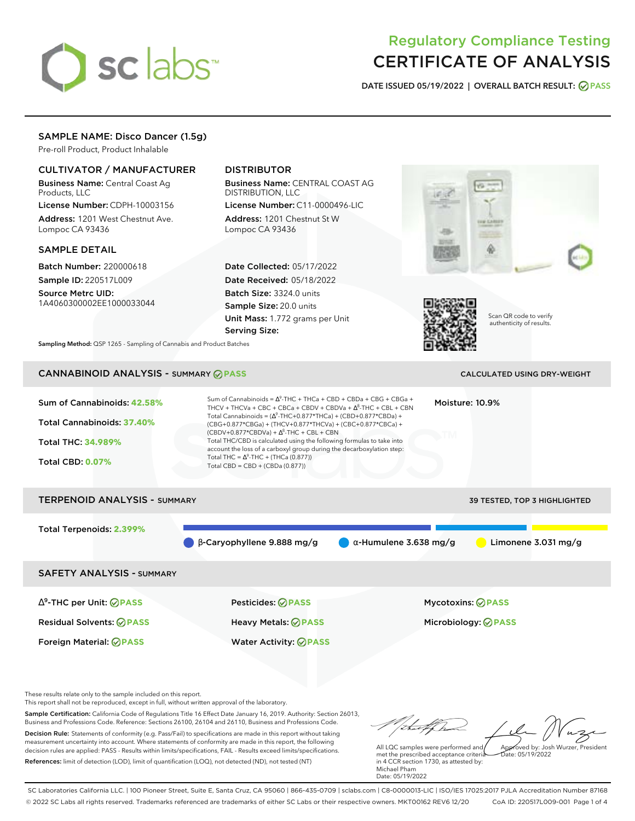# sclabs<sup>\*</sup>

# Regulatory Compliance Testing CERTIFICATE OF ANALYSIS

**DATE ISSUED 05/19/2022 | OVERALL BATCH RESULT: PASS**

# SAMPLE NAME: Disco Dancer (1.5g)

Pre-roll Product, Product Inhalable

# CULTIVATOR / MANUFACTURER

Business Name: Central Coast Ag Products, LLC

License Number: CDPH-10003156 Address: 1201 West Chestnut Ave. Lompoc CA 93436

# SAMPLE DETAIL

Batch Number: 220000618 Sample ID: 220517L009

Source Metrc UID: 1A4060300002EE1000033044

# DISTRIBUTOR

Business Name: CENTRAL COAST AG DISTRIBUTION, LLC

License Number: C11-0000496-LIC Address: 1201 Chestnut St W Lompoc CA 93436

Date Collected: 05/17/2022 Date Received: 05/18/2022 Batch Size: 3324.0 units Sample Size: 20.0 units Unit Mass: 1.772 grams per Unit Serving Size:





Scan QR code to verify authenticity of results.

**Sampling Method:** QSP 1265 - Sampling of Cannabis and Product Batches

# CANNABINOID ANALYSIS - SUMMARY **PASS** CALCULATED USING DRY-WEIGHT

| Sum of Cannabinoids: 42.58%<br>Total Cannabinoids: 37.40%<br><b>Total THC: 34.989%</b><br><b>Total CBD: 0.07%</b> | Sum of Cannabinoids = $\Delta^9$ -THC + THCa + CBD + CBDa + CBG + CBGa +<br>THCV + THCVa + CBC + CBCa + CBDV + CBDVa + $\Delta^8$ -THC + CBL + CBN<br>Total Cannabinoids = $(\Delta^9$ -THC+0.877*THCa) + (CBD+0.877*CBDa) +<br>(CBG+0.877*CBGa) + (THCV+0.877*THCVa) + (CBC+0.877*CBCa) +<br>$(CBDV+0.877*CBDVa) + \Delta^8$ -THC + CBL + CBN<br>Total THC/CBD is calculated using the following formulas to take into<br>account the loss of a carboxyl group during the decarboxylation step:<br>Total THC = $\Delta^9$ -THC + (THCa (0.877))<br>Total CBD = CBD + (CBDa (0.877)) |                               | Moisture: 10.9%                                 |
|-------------------------------------------------------------------------------------------------------------------|--------------------------------------------------------------------------------------------------------------------------------------------------------------------------------------------------------------------------------------------------------------------------------------------------------------------------------------------------------------------------------------------------------------------------------------------------------------------------------------------------------------------------------------------------------------------------------------|-------------------------------|-------------------------------------------------|
| <b>TERPENOID ANALYSIS - SUMMARY</b>                                                                               |                                                                                                                                                                                                                                                                                                                                                                                                                                                                                                                                                                                      |                               | 39 TESTED, TOP 3 HIGHLIGHTED                    |
| Total Terpenoids: 2.399%                                                                                          | $\beta$ -Caryophyllene 9.888 mg/g                                                                                                                                                                                                                                                                                                                                                                                                                                                                                                                                                    | $\alpha$ -Humulene 3.638 mg/g | Limonene $3.031$ mg/g                           |
| <b>SAFETY ANALYSIS - SUMMARY</b>                                                                                  |                                                                                                                                                                                                                                                                                                                                                                                                                                                                                                                                                                                      |                               |                                                 |
| $\Delta^9$ -THC per Unit: $\oslash$ PASS<br><b>Residual Solvents: ⊘PASS</b>                                       | <b>Pesticides: ⊘ PASS</b><br>Heavy Metals: ⊘PASS                                                                                                                                                                                                                                                                                                                                                                                                                                                                                                                                     |                               | <b>Mycotoxins: ⊘PASS</b><br>Microbiology: @PASS |

These results relate only to the sample included on this report.

This report shall not be reproduced, except in full, without written approval of the laboratory.

Sample Certification: California Code of Regulations Title 16 Effect Date January 16, 2019. Authority: Section 26013, Business and Professions Code. Reference: Sections 26100, 26104 and 26110, Business and Professions Code. Decision Rule: Statements of conformity (e.g. Pass/Fail) to specifications are made in this report without taking measurement uncertainty into account. Where statements of conformity are made in this report, the following decision rules are applied: PASS - Results within limits/specifications, FAIL - Results exceed limits/specifications.

Foreign Material: **PASS** Water Activity: **PASS**

References: limit of detection (LOD), limit of quantification (LOQ), not detected (ND), not tested (NT)

that flere Approved by: Josh Wurzer, President

Date: 05/19/2022

All LQC samples were performed and met the prescribed acceptance criteria in 4 CCR section 1730, as attested by: Michael Pham Date: 05/19/2022

SC Laboratories California LLC. | 100 Pioneer Street, Suite E, Santa Cruz, CA 95060 | 866-435-0709 | sclabs.com | C8-0000013-LIC | ISO/IES 17025:2017 PJLA Accreditation Number 87168 © 2022 SC Labs all rights reserved. Trademarks referenced are trademarks of either SC Labs or their respective owners. MKT00162 REV6 12/20 CoA ID: 220517L009-001 Page 1 of 4